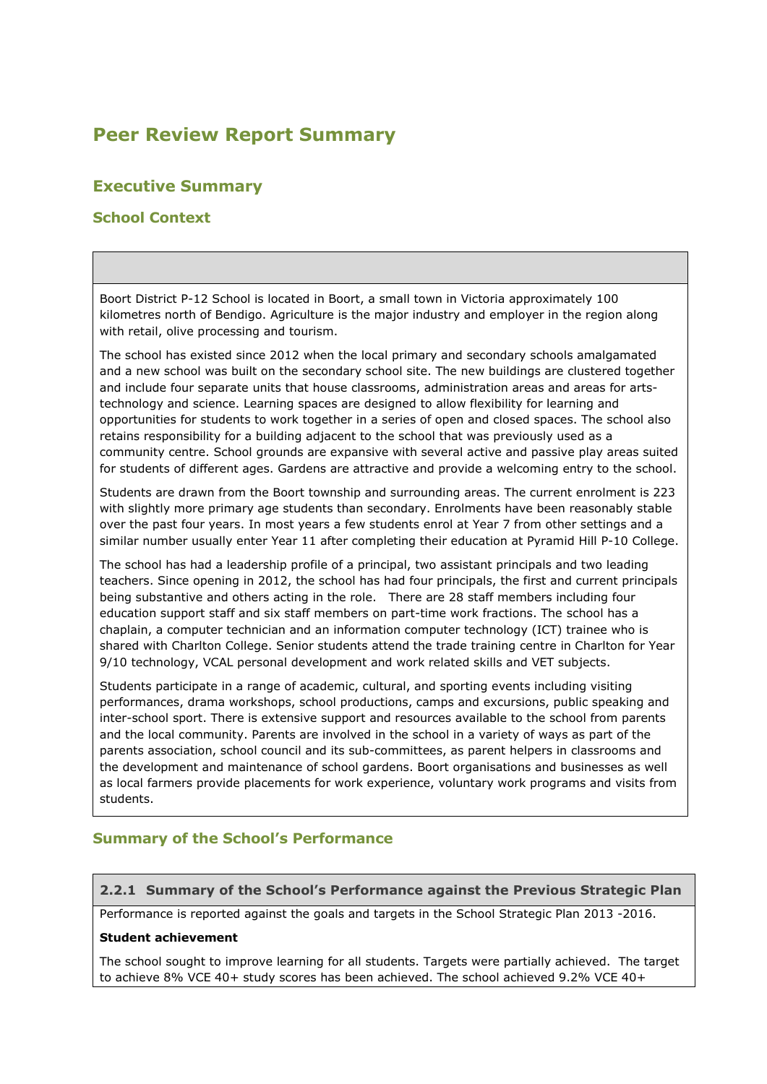# **Peer Review Report Summary**

# **Executive Summary**

## **School Context**

Boort District P-12 School is located in Boort, a small town in Victoria approximately 100 kilometres north of Bendigo. Agriculture is the major industry and employer in the region along with retail, olive processing and tourism.

The school has existed since 2012 when the local primary and secondary schools amalgamated and a new school was built on the secondary school site. The new buildings are clustered together and include four separate units that house classrooms, administration areas and areas for artstechnology and science. Learning spaces are designed to allow flexibility for learning and opportunities for students to work together in a series of open and closed spaces. The school also retains responsibility for a building adjacent to the school that was previously used as a community centre. School grounds are expansive with several active and passive play areas suited for students of different ages. Gardens are attractive and provide a welcoming entry to the school.

Students are drawn from the Boort township and surrounding areas. The current enrolment is 223 with slightly more primary age students than secondary. Enrolments have been reasonably stable over the past four years. In most years a few students enrol at Year 7 from other settings and a similar number usually enter Year 11 after completing their education at Pyramid Hill P-10 College.

The school has had a leadership profile of a principal, two assistant principals and two leading teachers. Since opening in 2012, the school has had four principals, the first and current principals being substantive and others acting in the role. There are 28 staff members including four education support staff and six staff members on part-time work fractions. The school has a chaplain, a computer technician and an information computer technology (ICT) trainee who is shared with Charlton College. Senior students attend the trade training centre in Charlton for Year 9/10 technology, VCAL personal development and work related skills and VET subjects.

Students participate in a range of academic, cultural, and sporting events including visiting performances, drama workshops, school productions, camps and excursions, public speaking and inter-school sport. There is extensive support and resources available to the school from parents and the local community. Parents are involved in the school in a variety of ways as part of the parents association, school council and its sub-committees, as parent helpers in classrooms and the development and maintenance of school gardens. Boort organisations and businesses as well as local farmers provide placements for work experience, voluntary work programs and visits from students.

## **Summary of the School's Performance**

**2.2.1 Summary of the School's Performance against the Previous Strategic Plan**

Performance is reported against the goals and targets in the School Strategic Plan 2013 -2016.

#### **Student achievement**

The school sought to improve learning for all students. Targets were partially achieved. The target to achieve 8% VCE 40+ study scores has been achieved. The school achieved 9.2% VCE 40+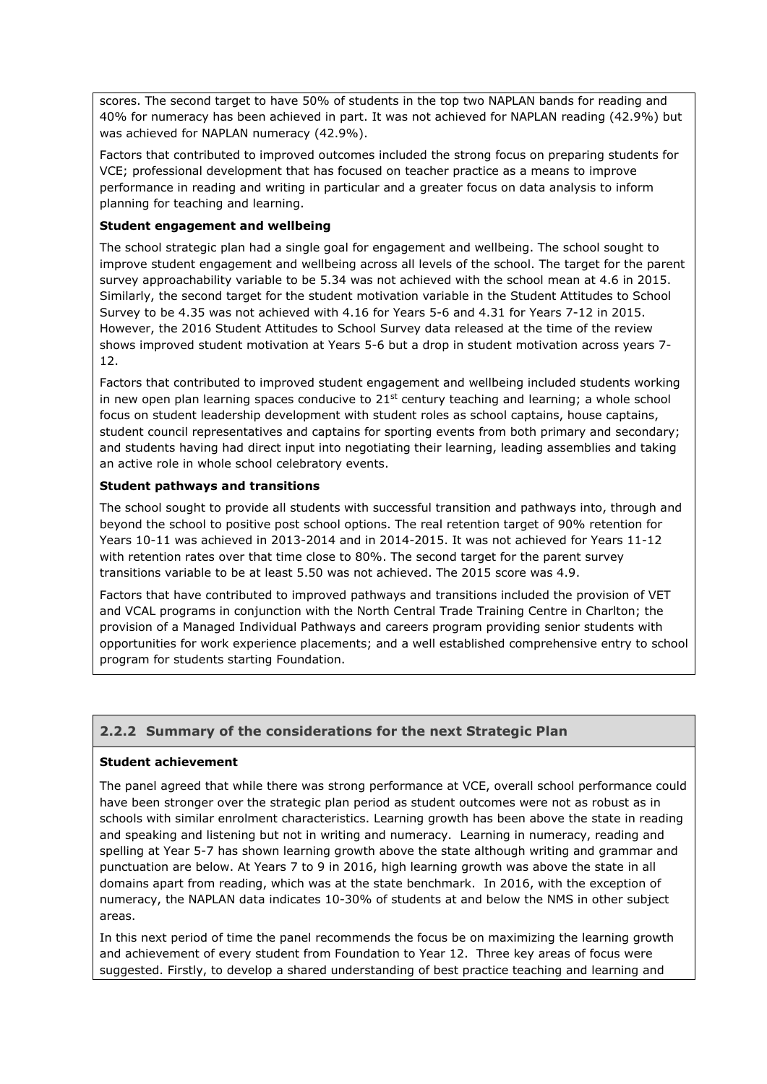scores. The second target to have 50% of students in the top two NAPLAN bands for reading and 40% for numeracy has been achieved in part. It was not achieved for NAPLAN reading (42.9%) but was achieved for NAPLAN numeracy (42.9%).

Factors that contributed to improved outcomes included the strong focus on preparing students for VCE; professional development that has focused on teacher practice as a means to improve performance in reading and writing in particular and a greater focus on data analysis to inform planning for teaching and learning.

#### **Student engagement and wellbeing**

The school strategic plan had a single goal for engagement and wellbeing. The school sought to improve student engagement and wellbeing across all levels of the school. The target for the parent survey approachability variable to be 5.34 was not achieved with the school mean at 4.6 in 2015. Similarly, the second target for the student motivation variable in the Student Attitudes to School Survey to be 4.35 was not achieved with 4.16 for Years 5-6 and 4.31 for Years 7-12 in 2015. However, the 2016 Student Attitudes to School Survey data released at the time of the review shows improved student motivation at Years 5-6 but a drop in student motivation across years 7- 12.

Factors that contributed to improved student engagement and wellbeing included students working in new open plan learning spaces conducive to  $21^{st}$  century teaching and learning; a whole school focus on student leadership development with student roles as school captains, house captains, student council representatives and captains for sporting events from both primary and secondary; and students having had direct input into negotiating their learning, leading assemblies and taking an active role in whole school celebratory events.

### **Student pathways and transitions**

The school sought to provide all students with successful transition and pathways into, through and beyond the school to positive post school options. The real retention target of 90% retention for Years 10-11 was achieved in 2013-2014 and in 2014-2015. It was not achieved for Years 11-12 with retention rates over that time close to 80%. The second target for the parent survey transitions variable to be at least 5.50 was not achieved. The 2015 score was 4.9.

Factors that have contributed to improved pathways and transitions included the provision of VET and VCAL programs in conjunction with the North Central Trade Training Centre in Charlton; the provision of a Managed Individual Pathways and careers program providing senior students with opportunities for work experience placements; and a well established comprehensive entry to school program for students starting Foundation.

## **2.2.2 Summary of the considerations for the next Strategic Plan**

#### **Student achievement**

The panel agreed that while there was strong performance at VCE, overall school performance could have been stronger over the strategic plan period as student outcomes were not as robust as in schools with similar enrolment characteristics. Learning growth has been above the state in reading and speaking and listening but not in writing and numeracy. Learning in numeracy, reading and spelling at Year 5-7 has shown learning growth above the state although writing and grammar and punctuation are below. At Years 7 to 9 in 2016, high learning growth was above the state in all domains apart from reading, which was at the state benchmark. In 2016, with the exception of numeracy, the NAPLAN data indicates 10-30% of students at and below the NMS in other subject areas.

In this next period of time the panel recommends the focus be on maximizing the learning growth and achievement of every student from Foundation to Year 12. Three key areas of focus were suggested. Firstly, to develop a shared understanding of best practice teaching and learning and